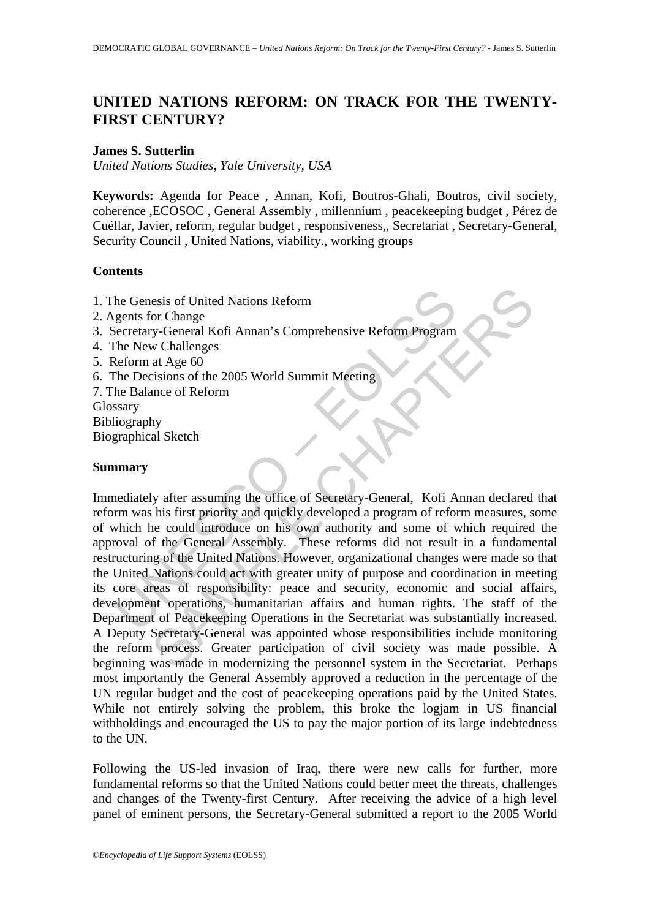# **UNITED NATIONS REFORM: ON TRACK FOR THE TWENTY-FIRST CENTURY?**

#### **James S. Sutterlin**

*United Nations Studies, Yale University, USA* 

**Keywords:** Agenda for Peace , Annan, Kofi, Boutros-Ghali, Boutros, civil society, coherence ,ECOSOC , General Assembly , millennium , peacekeeping budget , Pérez de Cuéllar, Javier, reform, regular budget , responsiveness,, Secretariat , Secretary-General, Security Council , United Nations, viability., working groups

#### **Contents**

- 1. The Genesis of United Nations Reform
- 2. Agents for Change
- 3. Secretary-General Kofi Annan's Comprehensive Reform Program
- 4. The New Challenges
- 5. Reform at Age 60
- 6. The Decisions of the 2005 World Summit Meeting
- 7. The Balance of Reform Glossary Bibliography
- Biographical Sketch

#### **Summary**

he Genesis of United Nations Reform<br>gents for Change<br>secretary-General Kofi Annan's Comprehensive Reform Program<br>The New Challenges<br>Reform at Age 60<br>teform at Age 60<br>the Decisions of the 2005 World Summit Meeting<br>he Balanc esis of United Nations Reform<br>
or Change<br>
or Change<br>
or Change<br>
or Changes<br>
at Age 60<br>
at Age 60<br>
at Age 60<br>
stissions of the 2005 World Summit Meeting<br>
at Age 60<br>
stissions of the 2005 World Summit Meeting<br>
hy<br>
al Sketch<br> Immediately after assuming the office of Secretary-General, Kofi Annan declared that reform was his first priority and quickly developed a program of reform measures, some of which he could introduce on his own authority and some of which required the approval of the General Assembly. These reforms did not result in a fundamental restructuring of the United Nations. However, organizational changes were made so that the United Nations could act with greater unity of purpose and coordination in meeting its core areas of responsibility: peace and security, economic and social affairs, development operations, humanitarian affairs and human rights. The staff of the Department of Peacekeeping Operations in the Secretariat was substantially increased. A Deputy Secretary-General was appointed whose responsibilities include monitoring the reform process. Greater participation of civil society was made possible. A beginning was made in modernizing the personnel system in the Secretariat. Perhaps most importantly the General Assembly approved a reduction in the percentage of the UN regular budget and the cost of peacekeeping operations paid by the United States. While not entirely solving the problem, this broke the logjam in US financial withholdings and encouraged the US to pay the major portion of its large indebtedness to the UN.

Following the US-led invasion of Iraq, there were new calls for further, more fundamental reforms so that the United Nations could better meet the threats, challenges and changes of the Twenty-first Century. After receiving the advice of a high level panel of eminent persons, the Secretary-General submitted a report to the 2005 World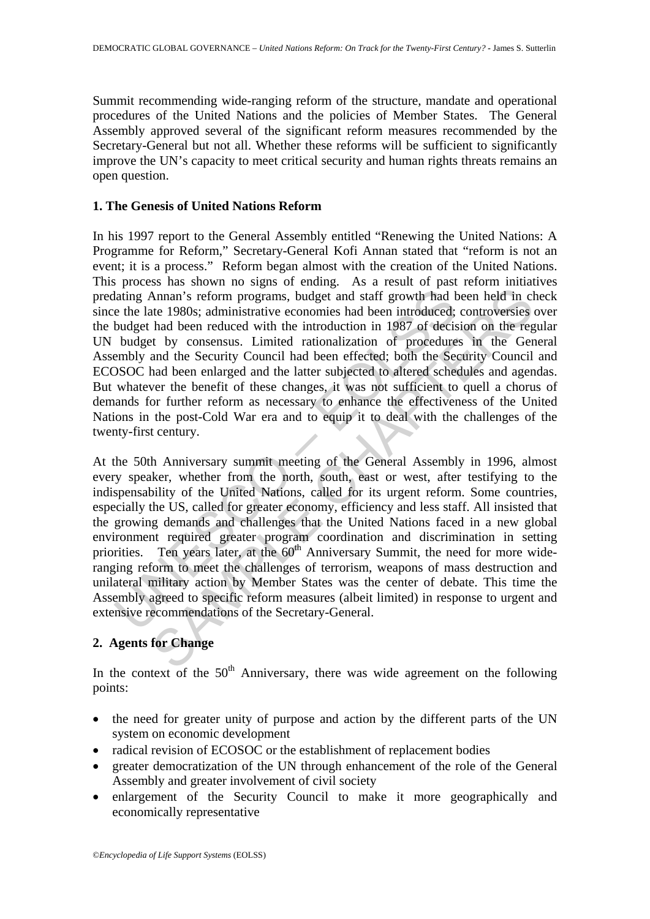Summit recommending wide-ranging reform of the structure, mandate and operational procedures of the United Nations and the policies of Member States. The General Assembly approved several of the significant reform measures recommended by the Secretary-General but not all. Whether these reforms will be sufficient to significantly improve the UN's capacity to meet critical security and human rights threats remains an open question.

#### **1. The Genesis of United Nations Reform**

In his 1997 report to the General Assembly entitled "Renewing the United Nations: A Programme for Reform," Secretary-General Kofi Annan stated that "reform is not an event; it is a process." Reform began almost with the creation of the United Nations. This process has shown no signs of ending. As a result of past reform initiatives predating Annan's reform programs, budget and staff growth had been held in check since the late 1980s; administrative economies had been introduced; controversies over the budget had been reduced with the introduction in 1987 of decision on the regular UN budget by consensus. Limited rationalization of procedures in the General Assembly and the Security Council had been effected; both the Security Council and ECOSOC had been enlarged and the latter subjected to altered schedules and agendas. But whatever the benefit of these changes, it was not sufficient to quell a chorus of demands for further reform as necessary to enhance the effectiveness of the United Nations in the post-Cold War era and to equip it to deal with the challenges of the twenty-first century.

lating Annan's reform programs, budget and staff growth had e the late 1980s; administrative economies had been introduced; budget by consensus. Limited rationalization of procedure budget by consensus. Limited rationaliza Annan's reform programs, budget and staff growth had been held in class daministrative economies had been introduced; controversies had been introduced with the introduction in 1987 of decision on the regard of the becaus At the 50th Anniversary summit meeting of the General Assembly in 1996, almost every speaker, whether from the north, south, east or west, after testifying to the indispensability of the United Nations, called for its urgent reform. Some countries, especially the US, called for greater economy, efficiency and less staff. All insisted that the growing demands and challenges that the United Nations faced in a new global environment required greater program coordination and discrimination in setting priorities. Ten years later, at the 60<sup>th</sup> Anniversary Summit, the need for more wideranging reform to meet the challenges of terrorism, weapons of mass destruction and unilateral military action by Member States was the center of debate. This time the Assembly agreed to specific reform measures (albeit limited) in response to urgent and extensive recommendations of the Secretary-General.

## **2. Agents for Change**

In the context of the  $50<sup>th</sup>$  Anniversary, there was wide agreement on the following points:

- the need for greater unity of purpose and action by the different parts of the UN system on economic development
- radical revision of ECOSOC or the establishment of replacement bodies
- greater democratization of the UN through enhancement of the role of the General Assembly and greater involvement of civil society
- enlargement of the Security Council to make it more geographically and economically representative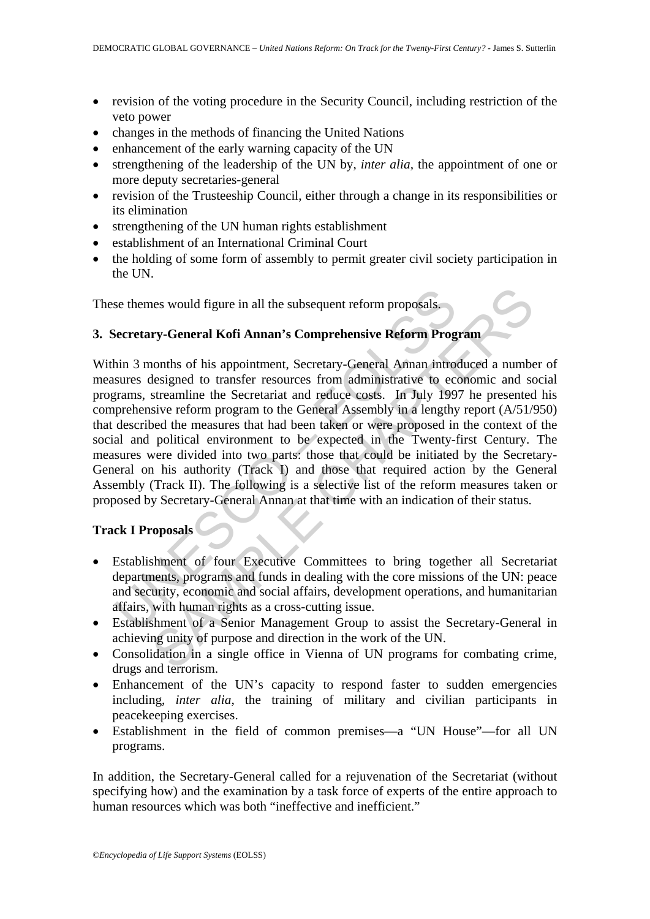- revision of the voting procedure in the Security Council, including restriction of the veto power
- changes in the methods of financing the United Nations
- enhancement of the early warning capacity of the UN
- strengthening of the leadership of the UN by, *inter alia,* the appointment of one or more deputy secretaries-general
- revision of the Trusteeship Council, either through a change in its responsibilities or its elimination
- strengthening of the UN human rights establishment
- establishment of an International Criminal Court
- the holding of some form of assembly to permit greater civil society participation in the UN.

These themes would figure in all the subsequent reform proposals.

### **3. Secretary-General Kofi Annan's Comprehensive Reform Program**

se themes would figure in all the subsequent reform proposals.<br>
Secretary-General Kofi Annan's Comprehensive Reform Prog<br>
hin 3 months of his appointment, Secretary-General Annan intro<br>
sures designed to transfer resources nes would figure in all the subsequent reform proposals.<br> **ry-General Kofi Annan's Comprehensive Reform Program**<br>
conths of his appointment, Secretary-General Annan introduced a numbelesigned to transfer resources from adm Within 3 months of his appointment, Secretary-General Annan introduced a number of measures designed to transfer resources from administrative to economic and social programs, streamline the Secretariat and reduce costs. In July 1997 he presented his comprehensive reform program to the General Assembly in a lengthy report (A/51/950) that described the measures that had been taken or were proposed in the context of the social and political environment to be expected in the Twenty-first Century. The measures were divided into two parts: those that could be initiated by the Secretary-General on his authority (Track I) and those that required action by the General Assembly (Track II). The following is a selective list of the reform measures taken or proposed by Secretary-General Annan at that time with an indication of their status.

## **Track I Proposals**

- Establishment of four Executive Committees to bring together all Secretariat departments, programs and funds in dealing with the core missions of the UN: peace and security, economic and social affairs, development operations, and humanitarian affairs, with human rights as a cross-cutting issue.
- Establishment of a Senior Management Group to assist the Secretary-General in achieving unity of purpose and direction in the work of the UN.
- Consolidation in a single office in Vienna of UN programs for combating crime, drugs and terrorism.
- Enhancement of the UN's capacity to respond faster to sudden emergencies including, *inter alia*, the training of military and civilian participants in peacekeeping exercises.
- Establishment in the field of common premises—a "UN House"—for all UN programs.

In addition, the Secretary-General called for a rejuvenation of the Secretariat (without specifying how) and the examination by a task force of experts of the entire approach to human resources which was both "ineffective and inefficient."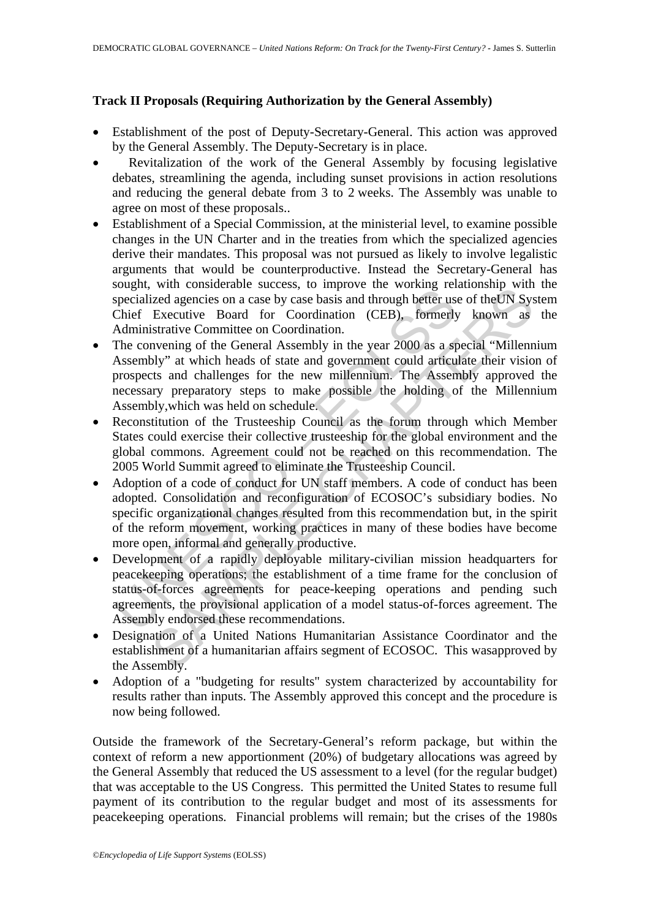### **Track II Proposals (Requiring Authorization by the General Assembly)**

- Establishment of the post of Deputy-Secretary-General. This action was approved by the General Assembly. The Deputy-Secretary is in place.
- Revitalization of the work of the General Assembly by focusing legislative debates, streamlining the agenda, including sunset provisions in action resolutions and reducing the general debate from 3 to 2 weeks. The Assembly was unable to agree on most of these proposals..
- Establishment of a Special Commission, at the ministerial level, to examine possible changes in the UN Charter and in the treaties from which the specialized agencies derive their mandates. This proposal was not pursued as likely to involve legalistic arguments that would be counterproductive. Instead the Secretary-General has sought, with considerable success, to improve the working relationship with the specialized agencies on a case by case basis and through better use of the UN System Chief Executive Board for Coordination (CEB), formerly known as the Administrative Committee on Coordination.
- Sugar, war consistence saccess, to improve the working Ferraitized agencies on a case by case basis and through better us<br>Chief Executive Board for Coordination.<br>Chief Executive Board for Coordination.<br>The convening of the wir consistent secures, to improve the working relationship with<br>dizel agencies on a case by case basis and through better use of the<br>UN Systemitiee on Coordination.<br>Executive Board for Coordination.<br>Inversing of the Gener • The convening of the General Assembly in the year 2000 as a special "Millennium" Assembly" at which heads of state and government could articulate their vision of prospects and challenges for the new millennium. The Assembly approved the necessary preparatory steps to make possible the holding of the Millennium Assembly,which was held on schedule.
- Reconstitution of the Trusteeship Council as the forum through which Member States could exercise their collective trusteeship for the global environment and the global commons. Agreement could not be reached on this recommendation. The 2005 World Summit agreed to eliminate the Trusteeship Council.
- Adoption of a code of conduct for UN staff members. A code of conduct has been adopted. Consolidation and reconfiguration of ECOSOC's subsidiary bodies. No specific organizational changes resulted from this recommendation but, in the spirit of the reform movement, working practices in many of these bodies have become more open, informal and generally productive.
- Development of a rapidly deployable military-civilian mission headquarters for peacekeeping operations; the establishment of a time frame for the conclusion of status-of-forces agreements for peace-keeping operations and pending such agreements, the provisional application of a model status-of-forces agreement. The Assembly endorsed these recommendations.
- Designation of a United Nations Humanitarian Assistance Coordinator and the establishment of a humanitarian affairs segment of ECOSOC. This wasapproved by the Assembly.
- Adoption of a "budgeting for results" system characterized by accountability for results rather than inputs. The Assembly approved this concept and the procedure is now being followed.

Outside the framework of the Secretary-General's reform package, but within the context of reform a new apportionment (20%) of budgetary allocations was agreed by the General Assembly that reduced the US assessment to a level (for the regular budget) that was acceptable to the US Congress. This permitted the United States to resume full payment of its contribution to the regular budget and most of its assessments for peacekeeping operations. Financial problems will remain; but the crises of the 1980s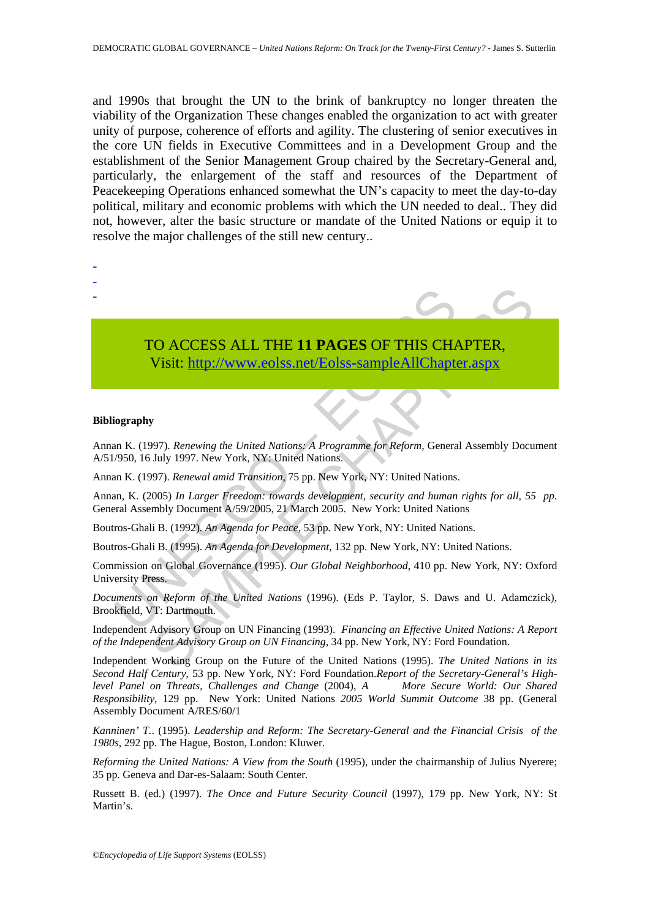and 1990s that brought the UN to the brink of bankruptcy no longer threaten the viability of the Organization These changes enabled the organization to act with greater unity of purpose, coherence of efforts and agility. The clustering of senior executives in the core UN fields in Executive Committees and in a Development Group and the establishment of the Senior Management Group chaired by the Secretary-General and, particularly, the enlargement of the staff and resources of the Department of Peacekeeping Operations enhanced somewhat the UN's capacity to meet the day-to-day political, military and economic problems with which the UN needed to deal.. They did not, however, alter the basic structure or mandate of the United Nations or equip it to resolve the major challenges of the still new century..

TO ACCESS ALL THE 11 PAGES OF THIS CHA<br>
Visit: http://www.eolss.net/Eolss-sampleAllChapte<br>
orgraphy<br>
in K. (1997). Renewing the United Nations: A Programme for Reform, Genera<br>
(950, 16 July 1997. New York, NY: United Natio CO ACCESS ALL THE 11 PAGES OF THIS CHA[PTER](https://www.eolss.net/ebooklib/sc_cart.aspx?File=E1-41-01-07),<br>
Visit: http://www.eolss.net/Eolss-sampleAllChapter.aspx<br>
997). Renewing the United Nations: A Programme for Reform, General Assembly Docu<br>
997). Renewing the United Nations:<br>
99 TO ACCESS ALL THE **11 PAGES** OF THIS CHAPTER, Visit: http://www.eolss.net/Eolss-sampleAllChapter.aspx

#### **Bibliography**

- - -

Annan K. (1997). *Renewing the United Nations: A Programme for Reform,* General Assembly Document A/51/950, 16 July 1997. New York, NY: United Nations.

Annan K. (1997). *Renewal amid Transition*, 75 pp. New York, NY: United Nations.

Annan, K. (2005) *In Larger Freedom: towards development, security and human rights for all, 55 pp.*  General Assembly Document A/59/2005, 21 March 2005. New York: United Nations

Boutros-Ghali B. (1992). *An Agenda for Peace,* 53 pp*.* New York, NY: United Nations.

Boutros-Ghali B. (1995). *An Agenda for Development,* 132 pp. New York, NY: United Nations.

Commission on Global Governance (1995). *Our Global Neighborhood*, 410 pp. New York, NY: Oxford University Press.

*Documents on Reform of the United Nations* (1996). (Eds P. Taylor, S. Daws and U. Adamczick), Brookfield, VT: Dartmouth.

Independent Advisory Group on UN Financing (1993). *Financing an Effective United Nations: A Report of the Independent Advisory Group on UN Financing*, 34 pp. New York, NY: Ford Foundation.

Independent Working Group on the Future of the United Nations (1995). *The United Nations in its Second Half Century*, 53 pp. New York, NY: Ford Foundation.*Report of the Secretary-General's Highlevel Panel on Threats, Challenges and Change* (2004), *A More Secure World: Our Shared Responsibility*, 129 pp. New York: United Nations *2005 World Summit Outcome* 38 pp. (General Assembly Document A/RES/60/1

*Kanninen' T.*. (1995). *Leadership and Reform: The Secretary-General and the Financial Crisis of the 1980s*, 292 pp. The Hague, Boston, London: Kluwer.

*Reforming the United Nations: A View from the South* (1995), under the chairmanship of Julius Nyerere; 35 pp. Geneva and Dar-es-Salaam: South Center.

Russett B. (ed.) (1997). *The Once and Future Security Council* (1997), 179 pp. New York, NY: St Martin's.